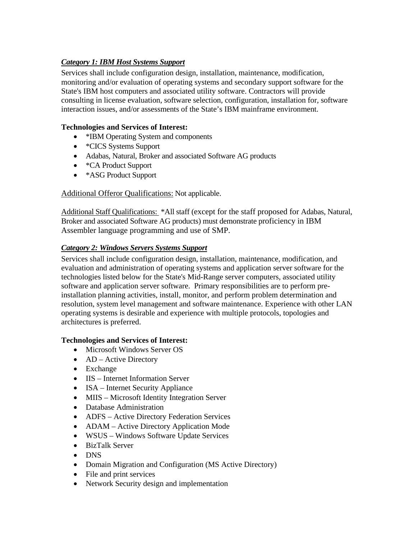# *Category 1: IBM Host Systems Support*

Services shall include configuration design, installation, maintenance, modification, monitoring and/or evaluation of operating systems and secondary support software for the State's IBM host computers and associated utility software. Contractors will provide consulting in license evaluation, software selection, configuration, installation for, software interaction issues, and/or assessments of the State's IBM mainframe environment.

## **Technologies and Services of Interest:**

- \*IBM Operating System and components
- \*CICS Systems Support
- Adabas, Natural, Broker and associated Software AG products
- \*CA Product Support
- \*ASG Product Support

## Additional Offeror Qualifications: Not applicable.

Additional Staff Qualifications: \*All staff (except for the staff proposed for Adabas, Natural, Broker and associated Software AG products) must demonstrate proficiency in IBM Assembler language programming and use of SMP.

### *Category 2: Windows Servers Systems Support*

Services shall include configuration design, installation, maintenance, modification, and evaluation and administration of operating systems and application server software for the technologies listed below for the State's Mid-Range server computers, associated utility software and application server software. Primary responsibilities are to perform preinstallation planning activities, install, monitor, and perform problem determination and resolution, system level management and software maintenance. Experience with other LAN operating systems is desirable and experience with multiple protocols, topologies and architectures is preferred.

### **Technologies and Services of Interest:**

- Microsoft Windows Server OS
- AD Active Directory
- Exchange
- IIS Internet Information Server
- ISA Internet Security Appliance
- MIIS Microsoft Identity Integration Server
- Database Administration
- ADFS Active Directory Federation Services
- ADAM Active Directory Application Mode
- WSUS Windows Software Update Services
- BizTalk Server
- DNS
- Domain Migration and Configuration (MS Active Directory)
- File and print services
- Network Security design and implementation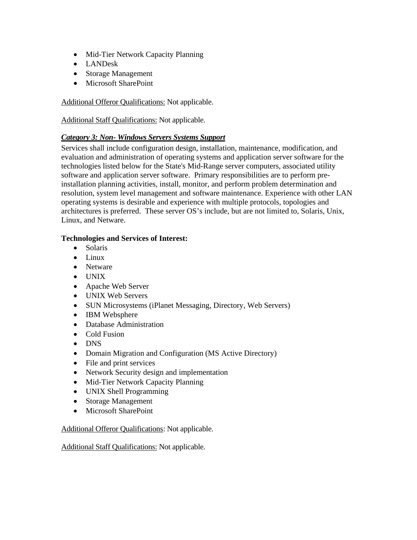- Mid-Tier Network Capacity Planning
- LANDesk
- Storage Management
- Microsoft SharePoint

Additional Offeror Qualifications: Not applicable.

Additional Staff Qualifications: Not applicable.

## *Category 3: Non- Windows Servers Systems Support*

Services shall include configuration design, installation, maintenance, modification, and evaluation and administration of operating systems and application server software for the technologies listed below for the State's Mid-Range server computers, associated utility software and application server software. Primary responsibilities are to perform preinstallation planning activities, install, monitor, and perform problem determination and resolution, system level management and software maintenance. Experience with other LAN operating systems is desirable and experience with multiple protocols, topologies and architectures is preferred. These server OS's include, but are not limited to, Solaris, Unix, Linux, and Netware.

## **Technologies and Services of Interest:**

- Solaris
- Linux
- Netware
- UNIX
- Apache Web Server
- UNIX Web Servers
- SUN Microsystems (iPlanet Messaging, Directory, Web Servers)
- IBM Websphere
- Database Administration
- Cold Fusion
- DNS
- Domain Migration and Configuration (MS Active Directory)
- File and print services
- Network Security design and implementation
- Mid-Tier Network Capacity Planning
- UNIX Shell Programming
- Storage Management
- Microsoft SharePoint

Additional Offeror Qualifications: Not applicable.

Additional Staff Qualifications: Not applicable.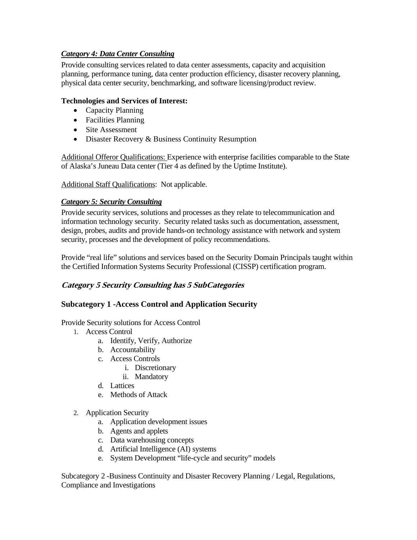## *Category 4: Data Center Consulting*

Provide consulting services related to data center assessments, capacity and acquisition planning, performance tuning, data center production efficiency, disaster recovery planning, physical data center security, benchmarking, and software licensing/product review.

#### **Technologies and Services of Interest:**

- Capacity Planning
- Facilities Planning
- Site Assessment
- Disaster Recovery & Business Continuity Resumption

Additional Offeror Qualifications: Experience with enterprise facilities comparable to the State of Alaska's Juneau Data center (Tier 4 as defined by the Uptime Institute).

#### Additional Staff Qualifications: Not applicable.

#### *Category 5: Security Consulting*

Provide security services, solutions and processes as they relate to telecommunication and information technology security. Security related tasks such as documentation, assessment, design, probes, audits and provide hands-on technology assistance with network and system security, processes and the development of policy recommendations.

Provide "real life" solutions and services based on the Security Domain Principals taught within the Certified Information Systems Security Professional (CISSP) certification program.

### **Category 5 Security Consulting has 5 SubCategories**

### **Subcategory 1 -Access Control and Application Security**

Provide Security solutions for Access Control

- 1. Access Control
	- a. Identify, Verify, Authorize
	- b. Accountability
	- c. Access Controls
		- i. Discretionary
		- ii. Mandatory
	- d. Lattices
	- e. Methods of Attack
- 2. Application Security
	- a. Application development issues
	- b. Agents and applets
	- c. Data warehousing concepts
	- d. Artificial Intelligence (AI) systems
	- e. System Development "life-cycle and security" models

Subcategory 2 -Business Continuity and Disaster Recovery Planning / Legal, Regulations, Compliance and Investigations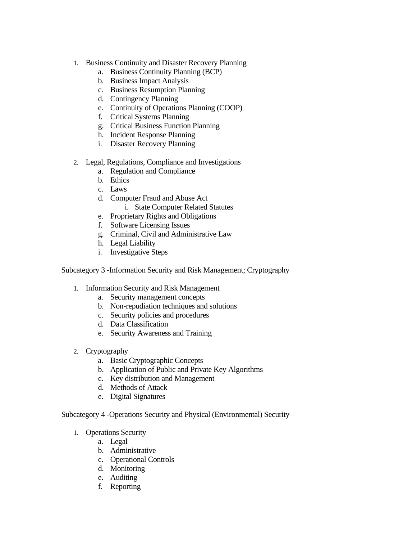- 1. Business Continuity and Disaster Recovery Planning
	- a. Business Continuity Planning (BCP)
	- b. Business Impact Analysis
	- c. Business Resumption Planning
	- d. Contingency Planning
	- e. Continuity of Operations Planning (COOP)
	- f. Critical Systems Planning
	- g. Critical Business Function Planning
	- h. Incident Response Planning
	- i. Disaster Recovery Planning
- 2. Legal, Regulations, Compliance and Investigations
	- a. Regulation and Compliance
	- b. Ethics
	- c. Laws
	- d. Computer Fraud and Abuse Act
		- i. State Computer Related Statutes
	- e. Proprietary Rights and Obligations
	- f. Software Licensing Issues
	- g. Criminal, Civil and Administrative Law
	- h. Legal Liability
	- i. Investigative Steps

Subcategory 3 -Information Security and Risk Management; Cryptography

- 1. Information Security and Risk Management
	- a. Security management concepts
	- b. Non-repudiation techniques and solutions
	- c. Security policies and procedures
	- d. Data Classification
	- e. Security Awareness and Training
- 2. Cryptography
	- a. Basic Cryptographic Concepts
	- b. Application of Public and Private Key Algorithms
	- c. Key distribution and Management
	- d. Methods of Attack
	- e. Digital Signatures

Subcategory 4 -Operations Security and Physical (Environmental) Security

- 1. Operations Security
	- a. Legal
	- b. Administrative
	- c. Operational Controls
	- d. Monitoring
	- e. Auditing
	- f. Reporting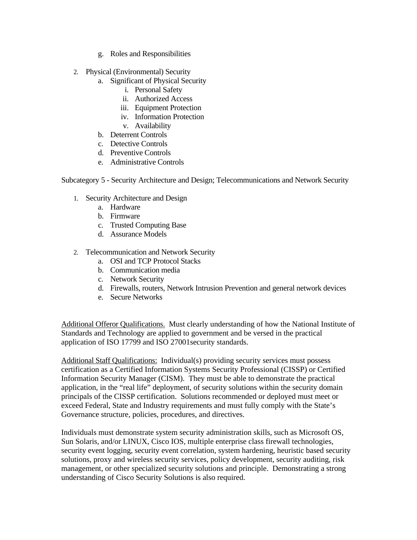- g. Roles and Responsibilities
- 2. Physical (Environmental) Security
	- a. Significant of Physical Security
		- i. Personal Safety
		- ii. Authorized Access
		- iii. Equipment Protection
		- iv. Information Protection
		- v. Availability
	- b. Deterrent Controls
	- c. Detective Controls
	- d. Preventive Controls
	- e. Administrative Controls

Subcategory 5 - Security Architecture and Design; Telecommunications and Network Security

- 1. Security Architecture and Design
	- a. Hardware
	- b. Firmware
	- c. Trusted Computing Base
	- d. Assurance Models
- 2. Telecommunication and Network Security
	- a. OSI and TCP Protocol Stacks
	- b. Communication media
	- c. Network Security
	- d. Firewalls, routers, Network Intrusion Prevention and general network devices
	- e. Secure Networks

Additional Offeror Qualifications. Must clearly understanding of how the National Institute of Standards and Technology are applied to government and be versed in the practical application of ISO 17799 and ISO 27001security standards.

Additional Staff Qualifications: Individual(s) providing security services must possess certification as a Certified Information Systems Security Professional (CISSP) or Certified Information Security Manager (CISM). They must be able to demonstrate the practical application, in the "real life" deployment, of security solutions within the security domain principals of the CISSP certification. Solutions recommended or deployed must meet or exceed Federal, State and Industry requirements and must fully comply with the State's Governance structure, policies, procedures, and directives.

Individuals must demonstrate system security administration skills, such as Microsoft OS, Sun Solaris, and/or LINUX, Cisco IOS, multiple enterprise class firewall technologies, security event logging, security event correlation, system hardening, heuristic based security solutions, proxy and wireless security services, policy development, security auditing, risk management, or other specialized security solutions and principle. Demonstrating a strong understanding of Cisco Security Solutions is also required.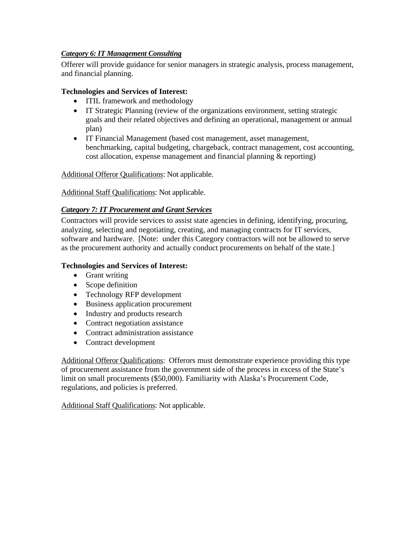## *Category 6: IT Management Consulting*

Offerer will provide guidance for senior managers in strategic analysis, process management, and financial planning.

### **Technologies and Services of Interest:**

- ITIL framework and methodology
- IT Strategic Planning (review of the organizations environment, setting strategic goals and their related objectives and defining an operational, management or annual plan)
- IT Financial Management (based cost management, asset management, benchmarking, capital budgeting, chargeback, contract management, cost accounting, cost allocation, expense management and financial planning & reporting)

Additional Offeror Qualifications: Not applicable.

Additional Staff Qualifications: Not applicable.

## *Category 7: IT Procurement and Grant Services*

Contractors will provide services to assist state agencies in defining, identifying, procuring, analyzing, selecting and negotiating, creating, and managing contracts for IT services, software and hardware. [Note: under this Category contractors will not be allowed to serve as the procurement authority and actually conduct procurements on behalf of the state.]

### **Technologies and Services of Interest:**

- Grant writing
- Scope definition
- Technology RFP development
- Business application procurement
- Industry and products research
- Contract negotiation assistance
- Contract administration assistance
- Contract development

Additional Offeror Qualifications: Offerors must demonstrate experience providing this type of procurement assistance from the government side of the process in excess of the State's limit on small procurements (\$50,000). Familiarity with Alaska's Procurement Code, regulations, and policies is preferred.

Additional Staff Qualifications: Not applicable.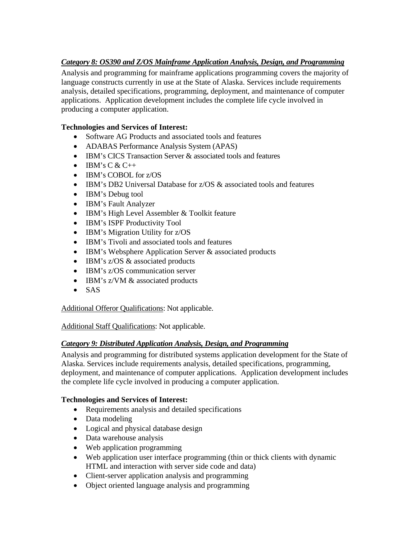# *Category 8: OS390 and Z/OS Mainframe Application Analysis, Design, and Programming*

Analysis and programming for mainframe applications programming covers the majority of language constructs currently in use at the State of Alaska. Services include requirements analysis, detailed specifications, programming, deployment, and maintenance of computer applications. Application development includes the complete life cycle involved in producing a computer application.

# **Technologies and Services of Interest:**

- Software AG Products and associated tools and features
- ADABAS Performance Analysis System (APAS)
- IBM's CICS Transaction Server & associated tools and features
- IBM's C  $&$  C++
- IBM's COBOL for z/OS
- IBM's DB2 Universal Database for  $z/OS$  & associated tools and features
- **IBM's Debug tool**
- IBM's Fault Analyzer
- IBM's High Level Assembler & Toolkit feature
- IBM's ISPF Productivity Tool
- IBM's Migration Utility for z/OS
- IBM's Tivoli and associated tools and features
- IBM's Websphere Application Server & associated products
- IBM's z/OS & associated products
- IBM's z/OS communication server
- IBM's z/VM & associated products
- SAS

Additional Offeror Qualifications: Not applicable.

Additional Staff Qualifications: Not applicable.

# *Category 9: Distributed Application Analysis, Design, and Programming*

Analysis and programming for distributed systems application development for the State of Alaska. Services include requirements analysis, detailed specifications, programming, deployment, and maintenance of computer applications. Application development includes the complete life cycle involved in producing a computer application.

# **Technologies and Services of Interest:**

- Requirements analysis and detailed specifications
- Data modeling
- Logical and physical database design
- Data warehouse analysis
- Web application programming
- Web application user interface programming (thin or thick clients with dynamic HTML and interaction with server side code and data)
- Client-server application analysis and programming
- Object oriented language analysis and programming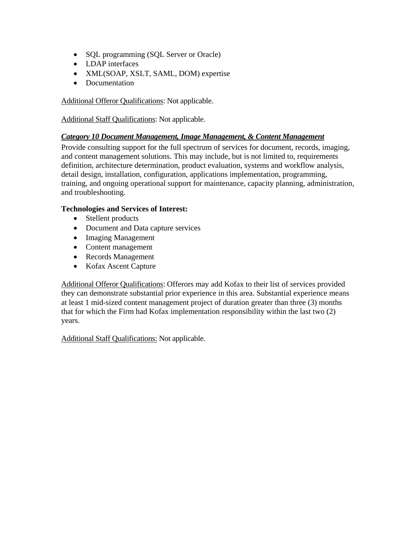- SQL programming (SQL Server or Oracle)
- LDAP interfaces
- XML(SOAP, XSLT, SAML, DOM) expertise
- Documentation

Additional Offeror Qualifications: Not applicable.

Additional Staff Qualifications: Not applicable.

### *Category 10 Document Management, Image Management, & Content Management*

Provide consulting support for the full spectrum of services for document, records, imaging, and content management solutions. This may include, but is not limited to, requirements definition, architecture determination, product evaluation, systems and workflow analysis, detail design, installation, configuration, applications implementation, programming, training, and ongoing operational support for maintenance, capacity planning, administration, and troubleshooting.

### **Technologies and Services of Interest:**

- Stellent products
- Document and Data capture services
- Imaging Management
- Content management
- Records Management
- Kofax Ascent Capture

Additional Offeror Qualifications: Offerors may add Kofax to their list of services provided they can demonstrate substantial prior experience in this area. Substantial experience means at least 1 mid-sized content management project of duration greater than three (3) months that for which the Firm had Kofax implementation responsibility within the last two (2) years.

Additional Staff Qualifications: Not applicable.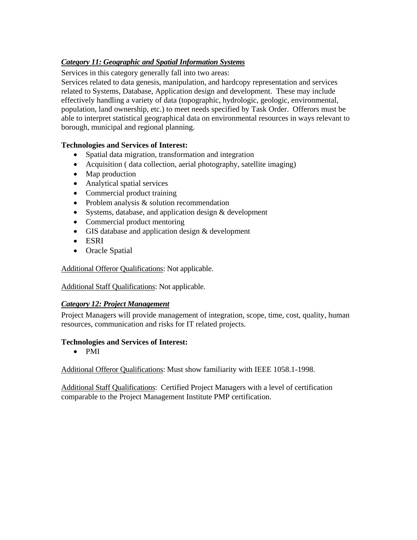# *Category 11: Geographic and Spatial Information Systems*

Services in this category generally fall into two areas:

Services related to data genesis, manipulation, and hardcopy representation and services related to Systems, Database, Application design and development. These may include effectively handling a variety of data (topographic, hydrologic, geologic, environmental, population, land ownership, etc.) to meet needs specified by Task Order. Offerors must be able to interpret statistical geographical data on environmental resources in ways relevant to borough, municipal and regional planning.

## **Technologies and Services of Interest:**

- Spatial data migration, transformation and integration
- Acquisition ( data collection, aerial photography, satellite imaging)
- Map production
- Analytical spatial services
- Commercial product training
- Problem analysis & solution recommendation
- Systems, database, and application design & development
- Commercial product mentoring
- GIS database and application design & development
- ESRI
- Oracle Spatial

Additional Offeror Qualifications: Not applicable.

Additional Staff Qualifications: Not applicable.

### *Category 12: Project Management*

Project Managers will provide management of integration, scope, time, cost, quality, human resources, communication and risks for IT related projects.

### **Technologies and Services of Interest:**

• PMI

Additional Offeror Qualifications: Must show familiarity with IEEE 1058.1-1998.

Additional Staff Qualifications: Certified Project Managers with a level of certification comparable to the Project Management Institute PMP certification.